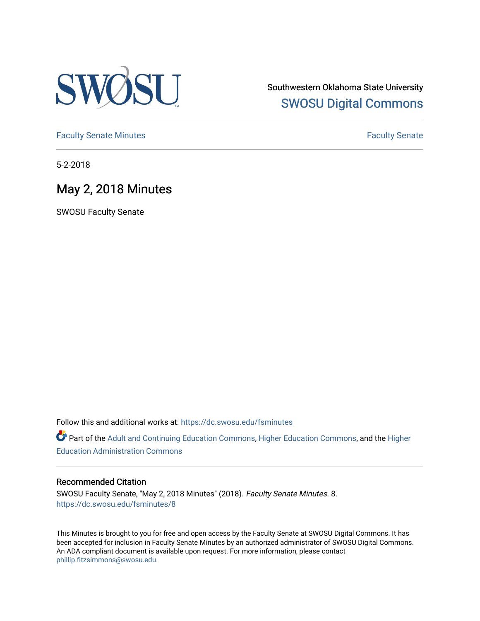

Southwestern Oklahoma State University [SWOSU Digital Commons](https://dc.swosu.edu/) 

[Faculty Senate Minutes](https://dc.swosu.edu/fsminutes) **Faculty** Senate Minutes

5-2-2018

# May 2, 2018 Minutes

SWOSU Faculty Senate

Follow this and additional works at: [https://dc.swosu.edu/fsminutes](https://dc.swosu.edu/fsminutes?utm_source=dc.swosu.edu%2Ffsminutes%2F8&utm_medium=PDF&utm_campaign=PDFCoverPages) 

Part of the [Adult and Continuing Education Commons,](http://network.bepress.com/hgg/discipline/1375?utm_source=dc.swosu.edu%2Ffsminutes%2F8&utm_medium=PDF&utm_campaign=PDFCoverPages) [Higher Education Commons,](http://network.bepress.com/hgg/discipline/1245?utm_source=dc.swosu.edu%2Ffsminutes%2F8&utm_medium=PDF&utm_campaign=PDFCoverPages) and the [Higher](http://network.bepress.com/hgg/discipline/791?utm_source=dc.swosu.edu%2Ffsminutes%2F8&utm_medium=PDF&utm_campaign=PDFCoverPages) [Education Administration Commons](http://network.bepress.com/hgg/discipline/791?utm_source=dc.swosu.edu%2Ffsminutes%2F8&utm_medium=PDF&utm_campaign=PDFCoverPages) 

#### Recommended Citation

SWOSU Faculty Senate, "May 2, 2018 Minutes" (2018). Faculty Senate Minutes. 8. [https://dc.swosu.edu/fsminutes/8](https://dc.swosu.edu/fsminutes/8?utm_source=dc.swosu.edu%2Ffsminutes%2F8&utm_medium=PDF&utm_campaign=PDFCoverPages)

This Minutes is brought to you for free and open access by the Faculty Senate at SWOSU Digital Commons. It has been accepted for inclusion in Faculty Senate Minutes by an authorized administrator of SWOSU Digital Commons. An ADA compliant document is available upon request. For more information, please contact [phillip.fitzsimmons@swosu.edu](mailto:phillip.fitzsimmons@swosu.edu).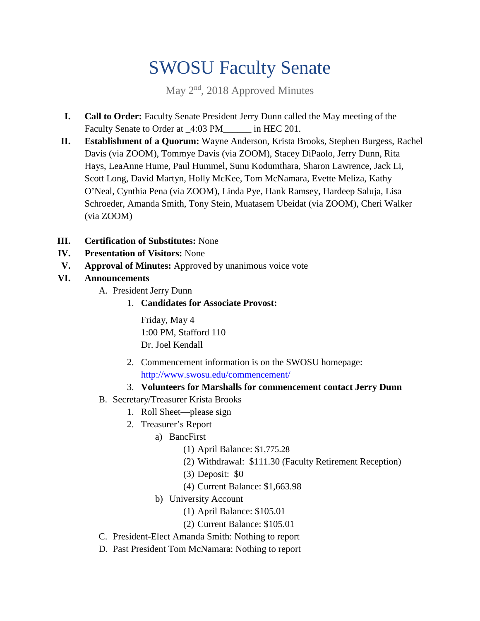# SWOSU Faculty Senate

May 2<sup>nd</sup>, 2018 Approved Minutes

- **I. Call to Order:** Faculty Senate President Jerry Dunn called the May meeting of the Faculty Senate to Order at \_4:03 PM\_\_\_\_\_\_\_ in HEC 201.
- **II. Establishment of a Quorum:** Wayne Anderson, Krista Brooks, Stephen Burgess, Rachel Davis (via ZOOM), Tommye Davis (via ZOOM), Stacey DiPaolo, Jerry Dunn, Rita Hays, LeaAnne Hume, Paul Hummel, Sunu Kodumthara, Sharon Lawrence, Jack Li, Scott Long, David Martyn, Holly McKee, Tom McNamara, Evette Meliza, Kathy O'Neal, Cynthia Pena (via ZOOM), Linda Pye, Hank Ramsey, Hardeep Saluja, Lisa Schroeder, Amanda Smith, Tony Stein, Muatasem Ubeidat (via ZOOM), Cheri Walker (via ZOOM)
- **III. Certification of Substitutes:** None
- **IV. Presentation of Visitors:** None
- **V. Approval of Minutes:** Approved by unanimous voice vote
- **VI. Announcements**
	- A. President Jerry Dunn
		- 1. **Candidates for Associate Provost:**

Friday, May 4 1:00 PM, Stafford 110 Dr. Joel Kendall

2. Commencement information is on the SWOSU homepage: <http://www.swosu.edu/commencement/>

## 3. **Volunteers for Marshalls for commencement contact Jerry Dunn**

- B. Secretary/Treasurer Krista Brooks
	- 1. Roll Sheet—please sign
	- 2. Treasurer's Report
		- a) BancFirst
			- (1) April Balance: \$1,775.28
			- (2) Withdrawal: \$111.30 (Faculty Retirement Reception)
			- (3) Deposit: \$0
			- (4) Current Balance: \$1,663.98
			- b) University Account
				- (1) April Balance: \$105.01
				- (2) Current Balance: \$105.01
- C. President-Elect Amanda Smith: Nothing to report
- D. Past President Tom McNamara: Nothing to report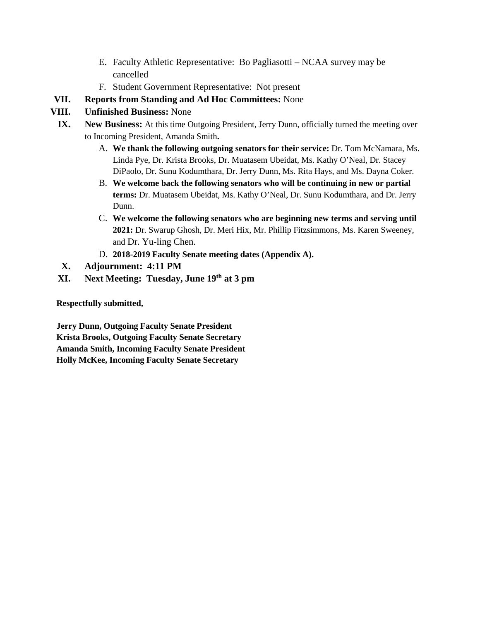- E. Faculty Athletic Representative: Bo Pagliasotti NCAA survey may be cancelled
- F. Student Government Representative: Not present
- **VII. Reports from Standing and Ad Hoc Committees:** None
- **VIII. Unfinished Business:** None
- **IX. New Business:** At this time Outgoing President, Jerry Dunn, officially turned the meeting over to Incoming President, Amanda Smith**.**
	- A. **We thank the following outgoing senators for their service:** Dr. Tom McNamara, Ms. Linda Pye, Dr. Krista Brooks, Dr. Muatasem Ubeidat, Ms. Kathy O'Neal, Dr. Stacey DiPaolo, Dr. Sunu Kodumthara, Dr. Jerry Dunn, Ms. Rita Hays, and Ms. Dayna Coker.
	- B. **We welcome back the following senators who will be continuing in new or partial terms:** Dr. Muatasem Ubeidat, Ms. Kathy O'Neal, Dr. Sunu Kodumthara, and Dr. Jerry Dunn.
	- C. **We welcome the following senators who are beginning new terms and serving until 2021:** Dr. Swarup Ghosh, Dr. Meri Hix, Mr. Phillip Fitzsimmons, Ms. Karen Sweeney, and Dr. Yu-ling Chen.
	- D. **2018-2019 Faculty Senate meeting dates (Appendix A).**
	- **X. Adjournment: 4:11 PM**
- **XI. Next Meeting: Tuesday, June 19th at 3 pm**

**Respectfully submitted,**

**Jerry Dunn, Outgoing Faculty Senate President Krista Brooks, Outgoing Faculty Senate Secretary Amanda Smith, Incoming Faculty Senate President Holly McKee, Incoming Faculty Senate Secretary**